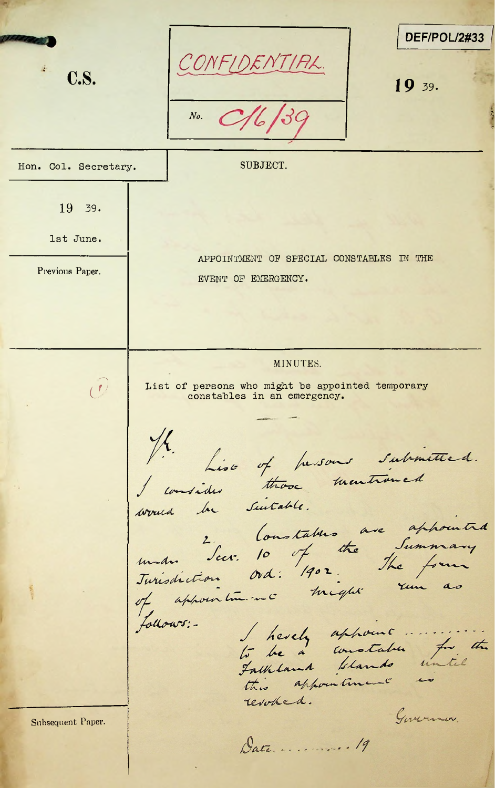**\*** DEF/POL/2#33 *a- COFF&Effr/RF.* **c.s.** *19* **39.***No. %* r Hon. Col. Secretary. | SUBJECT. 19 39. 1st June. APPOINTMENT OF SPECIAL CONSTABLES IN THE Previous Paper. EVENT OF EMERGENCY. MINUTES.  $\left\lfloor \frac{f}{f} \right\rfloor$  List of persons who might be appointed temporary constables in an emergency. 4. Lise of fursons submitted.<br>consider those mentioned Suitable. he would in Soustables are appointed<br>under Secr. 10 of the Summary<br>Jurisdiction ord: 1902. The form follows: revorked. Governon. Subsequent Paper. Date .......... 19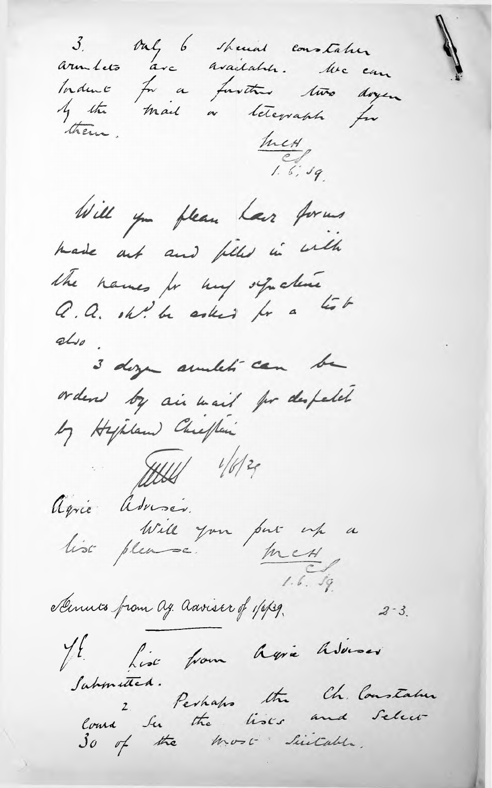3. Ouly 6 showed constation armilets are available. We can Induce for a further two doyer I the mail a leterrach for them. hut  $1.6.99$ Will you please have former hade out and files in with the names for my synchine<br>Q. Q. oh! be asked for a test  $abw$ . 3 dozen amelité can be orders by air wait for despetch by Hypland Chiefler  $7141$  1/6/20 Agric Adviser. lise please. par par up a mess,  $1.6.99$ Scinuts from Ag. Adviser of 1/6/39.  $2 - 3$ . JE Lise from Agric Adorser Sahmitted. course 2 Perhaps the Ch. Constatuer<br>Course Su the lists and Select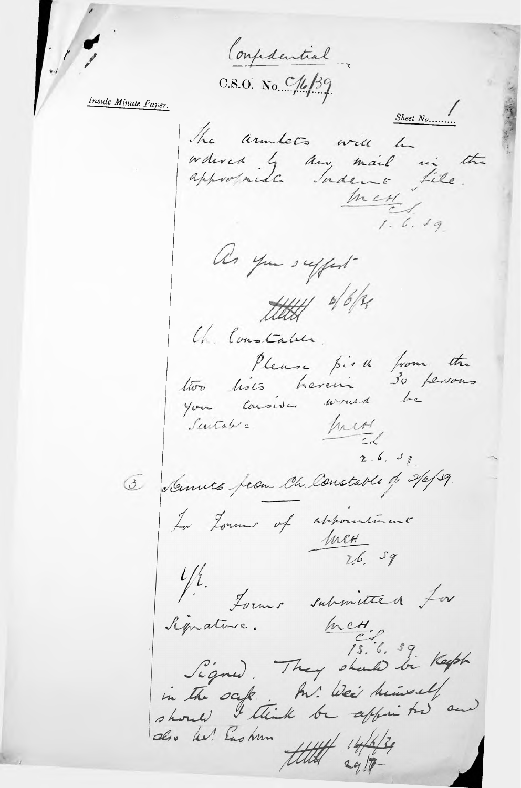Confederatial

 $C.S.O.$  No  $C/L/39$ 

Inside Minute Paper.

 $\frac{1}{2}$ 

 $Sheet\ N0$ ......... The armlets will be wdered by any mail in the appropriate Indens file. In cH  $1.6.39$ as you suffert HHH 4/6/34 Ch. Constable. Please pirch from the two hits herein so persons your consider would be Sentate = hurt  $2.6.97$ 3 Simila from Ch. Constable of 2/0/39. La Louis of appointment M.<br>Lorms submitted Lor prative. Met.<br>Signed. They should be Keeph Signature. in the safe . In Wei himself and do he! Eas hun  $1444$  14/6  $29/7$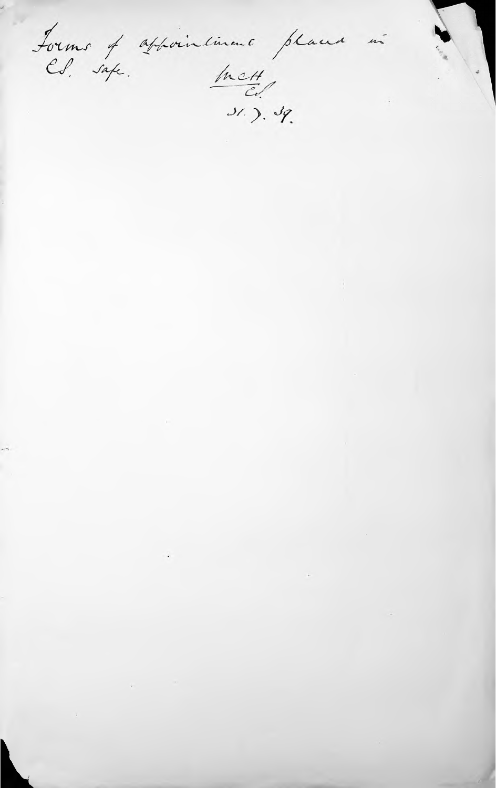Forms of appointment places<br>Ed. safe. hv.H.  $\overline{m}$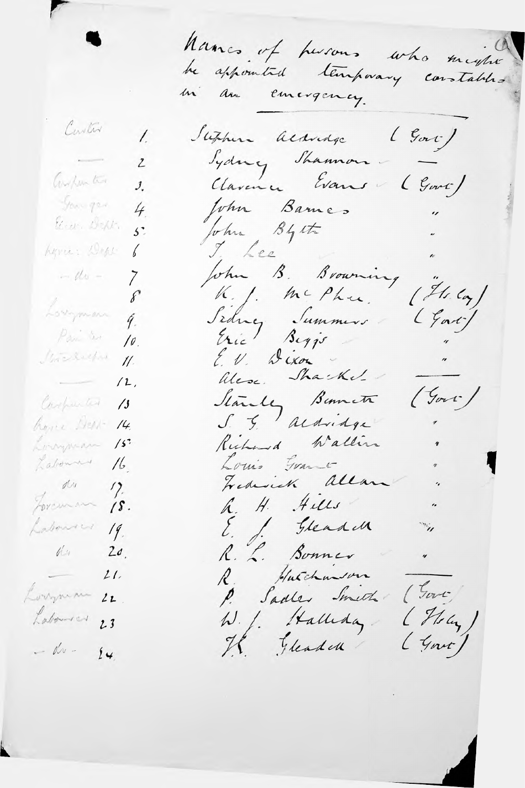Nancs of harons who maybe be appointed temporary constables mi am emergency. Contra Stephen acausage (Gove)  $\prime$ Jydney Shannon-2 Clavence Evans (Gove) Compan ten  $J_{\cdot}$ You gar John Barnes 4 John Byst Electric Dept.  $5^\circ$ I Lee<br>John B. Browning Lyra: Dept b  $=$  de  $=$  $\sum$  $(1/4.4)$ K.J. McPhee. Lovyman  $\mathscr{E}$ Sidney Summers (Gar)  $\widetilde{q}$ . Pari ter  $\sqrt{\rho}$ Michelpre E.V. Dixon  $1/3$ Alese Shackel  $\overline{\phantom{a}}$  $/2$ ,  $(500)$ Carpenter 13 bone Herr- 14 Rubened Walling Longuean  $\frac{1}{2}$ Louis Grand Labourn 16. Foreman 18. h. H. Hills  $\overline{a}$ Labourer 19. E. S. Gleand  $\dddot{v}$ R. L. Bonner  $1/20$ .  $\overline{ }$ R. Hutchmason  $-21$ P. Sadles Smeth (Gover)  $21$  $(Mu)$ W. J. Halleday  $23$ Il Gleader  $\left(\frac{1}{2}+1\right)$  $14$ 

Lorrynian

Labourer

 $-\omega -$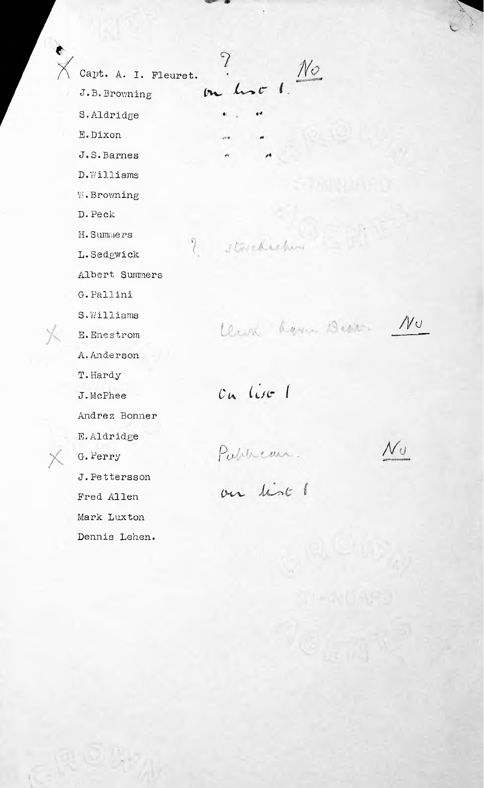Capt. A. I. Fleuret. J• B. Browning S.Aldridge E.Dixon J. S.Barnes D. Williams VJ. Browning D.Peck H. Summers I. Sedgwick ? Statehold Albert Summers G.Pallini E.Enestrom A.Anderson T.Hardy *J.*McPhee Cu (is 1 Andrez Bonner E.Aldridge X G.Perry Publican.<br>J.Pettersson on list J.Pettersson Fred Allen Mark Luxton Dennis Lehen.

 $\frac{1}{2}$ 

 $\mathcal{P}$  $\frac{1}{2}$  $(n)$ ...

j.

S. Williams<br>E. Enestrom *Lewin Lynn Desir.* Nu

 $\mathcal{N} \cup$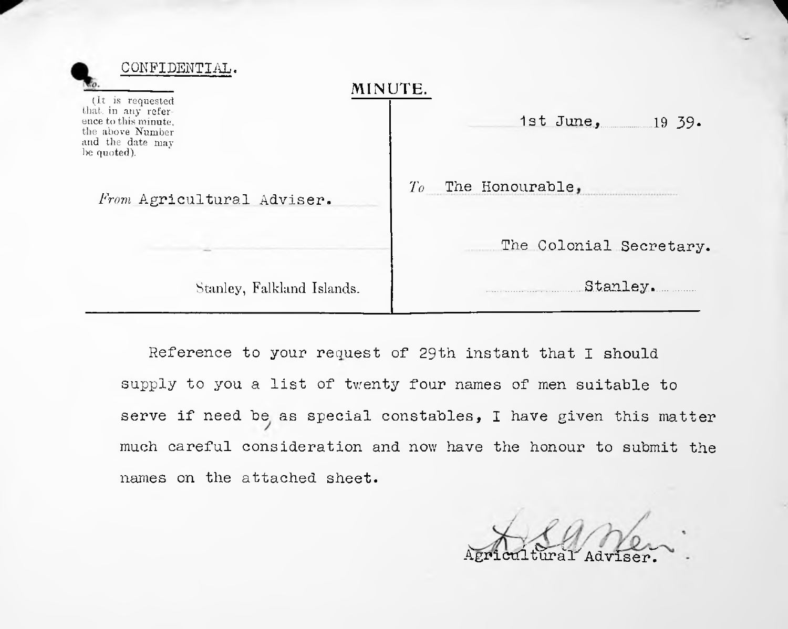| CONFII                                                                                                                |                             |
|-----------------------------------------------------------------------------------------------------------------------|-----------------------------|
| (It is requested<br>that in any refer-<br>ence to this minute.<br>the above Number<br>and the date may<br>be quoted). | MINUTE.<br>1st June, 19 39. |
| From Agricultural Adviser.                                                                                            | To<br>The Honourable,       |
|                                                                                                                       | The Colonial Secretary.     |
| Stanley, Falkland Islands.                                                                                            | Stanley.                    |

Reference to your request of 29th instant that I should supply to you a list of twenty four names of men suitable to serve if need be as special constables, I have given this matter names on the attached sheet. much careful consideration and now have the honour to submit the

Agricultural Adviser.

**1**